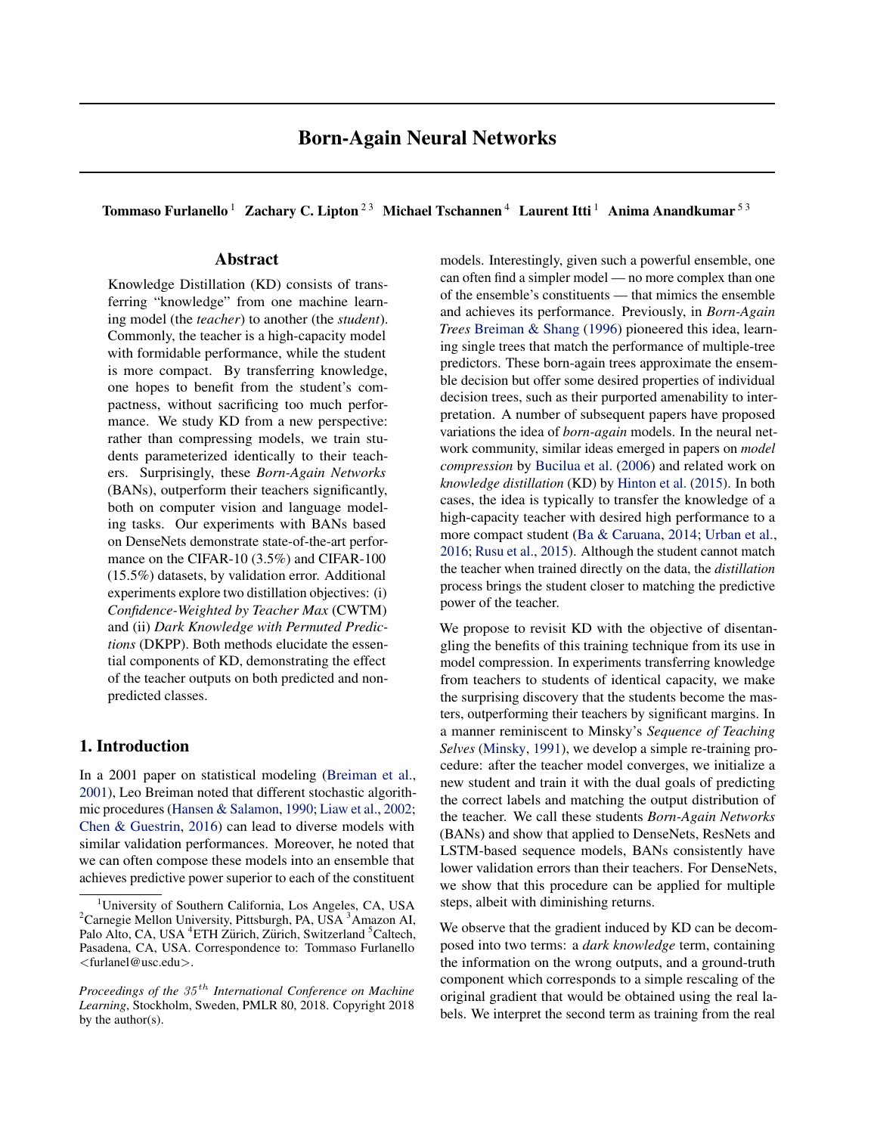Tommaso Furlanello<sup>1</sup> Zachary C. Lipton<sup>23</sup> Michael Tschannen<sup>4</sup> Laurent Itti<sup>1</sup> Anima Anandkumar<sup>53</sup>

# Abstract

Knowledge Distillation (KD) consists of transferring "knowledge" from one machine learning model (the *teacher*) to another (the *student*). Commonly, the teacher is a high-capacity model with formidable performance, while the student is more compact. By transferring knowledge, one hopes to benefit from the student's compactness, without sacrificing too much performance. We study KD from a new perspective: rather than compressing models, we train students parameterized identically to their teachers. Surprisingly, these *Born-Again Networks* (BANs), outperform their teachers significantly, both on computer vision and language modeling tasks. Our experiments with BANs based on DenseNets demonstrate state-of-the-art performance on the CIFAR-10 (3.5%) and CIFAR-100 (15.5%) datasets, by validation error. Additional experiments explore two distillation objectives: (i) *Confidence-Weighted by Teacher Max* (CWTM) and (ii) *Dark Knowledge with Permuted Predictions* (DKPP). Both methods elucidate the essential components of KD, demonstrating the effect of the teacher outputs on both predicted and nonpredicted classes.

## 1. Introduction

In a 2001 paper on statistical modeling [\(Breiman et al.,](#page-8-0) [2001\)](#page-8-0), Leo Breiman noted that different stochastic algorithmic procedures [\(Hansen & Salamon,](#page-8-0) [1990;](#page-8-0) [Liaw et al.,](#page-8-0) [2002;](#page-8-0) [Chen & Guestrin,](#page-8-0) [2016\)](#page-8-0) can lead to diverse models with similar validation performances. Moreover, he noted that we can often compose these models into an ensemble that achieves predictive power superior to each of the constituent models. Interestingly, given such a powerful ensemble, one can often find a simpler model — no more complex than one of the ensemble's constituents — that mimics the ensemble and achieves its performance. Previously, in *Born-Again Trees* [Breiman & Shang](#page-8-0) [\(1996\)](#page-8-0) pioneered this idea, learning single trees that match the performance of multiple-tree predictors. These born-again trees approximate the ensemble decision but offer some desired properties of individual decision trees, such as their purported amenability to interpretation. A number of subsequent papers have proposed variations the idea of *born-again* models. In the neural network community, similar ideas emerged in papers on *model compression* by [Bucilua et al.](#page-8-0) [\(2006\)](#page-8-0) and related work on *knowledge distillation* (KD) by [Hinton et al.](#page-8-0) [\(2015\)](#page-8-0). In both cases, the idea is typically to transfer the knowledge of a high-capacity teacher with desired high performance to a more compact student [\(Ba & Caruana,](#page-8-0) [2014;](#page-8-0) [Urban et al.,](#page-9-0) [2016;](#page-9-0) [Rusu et al.,](#page-9-0) [2015\)](#page-9-0). Although the student cannot match the teacher when trained directly on the data, the *distillation* process brings the student closer to matching the predictive power of the teacher.

We propose to revisit KD with the objective of disentangling the benefits of this training technique from its use in model compression. In experiments transferring knowledge from teachers to students of identical capacity, we make the surprising discovery that the students become the masters, outperforming their teachers by significant margins. In a manner reminiscent to Minsky's *Sequence of Teaching Selves* [\(Minsky,](#page-9-0) [1991\)](#page-9-0), we develop a simple re-training procedure: after the teacher model converges, we initialize a new student and train it with the dual goals of predicting the correct labels and matching the output distribution of the teacher. We call these students *Born-Again Networks* (BANs) and show that applied to DenseNets, ResNets and LSTM-based sequence models, BANs consistently have lower validation errors than their teachers. For DenseNets, we show that this procedure can be applied for multiple steps, albeit with diminishing returns.

We observe that the gradient induced by KD can be decomposed into two terms: a *dark knowledge* term, containing the information on the wrong outputs, and a ground-truth component which corresponds to a simple rescaling of the original gradient that would be obtained using the real labels. We interpret the second term as training from the real

<sup>&</sup>lt;sup>1</sup>University of Southern California, Los Angeles, CA, USA <sup>2</sup>Carnegie Mellon University, Pittsburgh, PA, USA<sup>3</sup> Amazon AI, Palo Alto, CA, USA <sup>4</sup>ETH Zürich, Zürich, Switzerland <sup>5</sup>Caltech, Pasadena, CA, USA. Correspondence to: Tommaso Furlanello <furlanel@usc.edu>.

*Proceedings of the* 35 th *International Conference on Machine Learning*, Stockholm, Sweden, PMLR 80, 2018. Copyright 2018 by the author(s).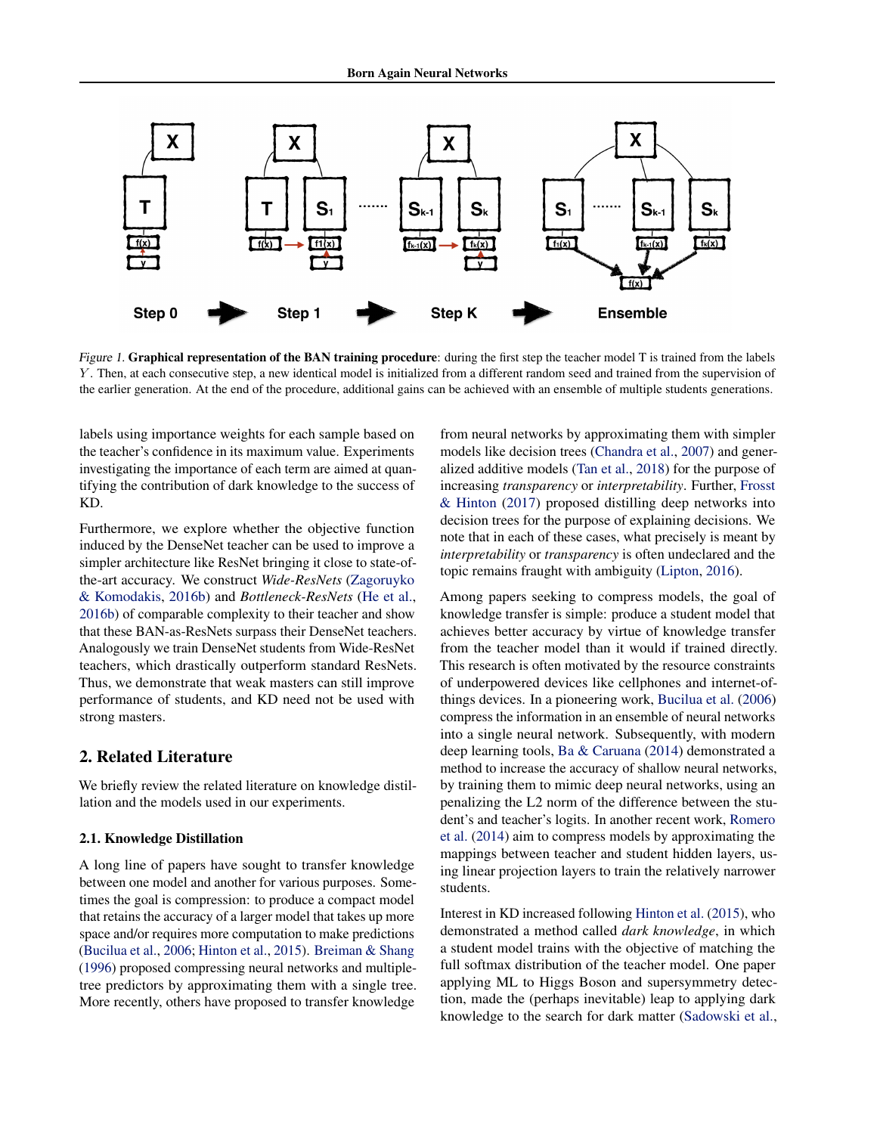

Figure 1. Graphical representation of the BAN training procedure: during the first step the teacher model T is trained from the labels Y . Then, at each consecutive step, a new identical model is initialized from a different random seed and trained from the supervision of the earlier generation. At the end of the procedure, additional gains can be achieved with an ensemble of multiple students generations.

labels using importance weights for each sample based on the teacher's confidence in its maximum value. Experiments investigating the importance of each term are aimed at quantifying the contribution of dark knowledge to the success of KD.

Furthermore, we explore whether the objective function induced by the DenseNet teacher can be used to improve a simpler architecture like ResNet bringing it close to state-ofthe-art accuracy. We construct *Wide-ResNets* [\(Zagoruyko](#page-9-0) [& Komodakis,](#page-9-0) [2016b\)](#page-9-0) and *Bottleneck-ResNets* [\(He et al.,](#page-8-0) [2016b\)](#page-8-0) of comparable complexity to their teacher and show that these BAN-as-ResNets surpass their DenseNet teachers. Analogously we train DenseNet students from Wide-ResNet teachers, which drastically outperform standard ResNets. Thus, we demonstrate that weak masters can still improve performance of students, and KD need not be used with strong masters.

# 2. Related Literature

We briefly review the related literature on knowledge distillation and the models used in our experiments.

#### 2.1. Knowledge Distillation

A long line of papers have sought to transfer knowledge between one model and another for various purposes. Sometimes the goal is compression: to produce a compact model that retains the accuracy of a larger model that takes up more space and/or requires more computation to make predictions [\(Bucilua et al.,](#page-8-0) [2006;](#page-8-0) [Hinton et al.,](#page-8-0) [2015\)](#page-8-0). [Breiman & Shang](#page-8-0) [\(1996\)](#page-8-0) proposed compressing neural networks and multipletree predictors by approximating them with a single tree. More recently, others have proposed to transfer knowledge

from neural networks by approximating them with simpler models like decision trees [\(Chandra et al.,](#page-8-0) [2007\)](#page-8-0) and generalized additive models [\(Tan et al.,](#page-9-0) [2018\)](#page-9-0) for the purpose of increasing *transparency* or *interpretability*. Further, [Frosst](#page-8-0) [& Hinton](#page-8-0) [\(2017\)](#page-8-0) proposed distilling deep networks into decision trees for the purpose of explaining decisions. We note that in each of these cases, what precisely is meant by *interpretability* or *transparency* is often undeclared and the topic remains fraught with ambiguity [\(Lipton,](#page-9-0) [2016\)](#page-9-0).

Among papers seeking to compress models, the goal of knowledge transfer is simple: produce a student model that achieves better accuracy by virtue of knowledge transfer from the teacher model than it would if trained directly. This research is often motivated by the resource constraints of underpowered devices like cellphones and internet-ofthings devices. In a pioneering work, [Bucilua et al.](#page-8-0) [\(2006\)](#page-8-0) compress the information in an ensemble of neural networks into a single neural network. Subsequently, with modern deep learning tools, [Ba & Caruana](#page-8-0) [\(2014\)](#page-8-0) demonstrated a method to increase the accuracy of shallow neural networks, by training them to mimic deep neural networks, using an penalizing the L2 norm of the difference between the student's and teacher's logits. In another recent work, [Romero](#page-9-0) [et al.](#page-9-0) [\(2014\)](#page-9-0) aim to compress models by approximating the mappings between teacher and student hidden layers, using linear projection layers to train the relatively narrower students.

Interest in KD increased following [Hinton et al.](#page-8-0) [\(2015\)](#page-8-0), who demonstrated a method called *dark knowledge*, in which a student model trains with the objective of matching the full softmax distribution of the teacher model. One paper applying ML to Higgs Boson and supersymmetry detection, made the (perhaps inevitable) leap to applying dark knowledge to the search for dark matter [\(Sadowski et al.,](#page-9-0)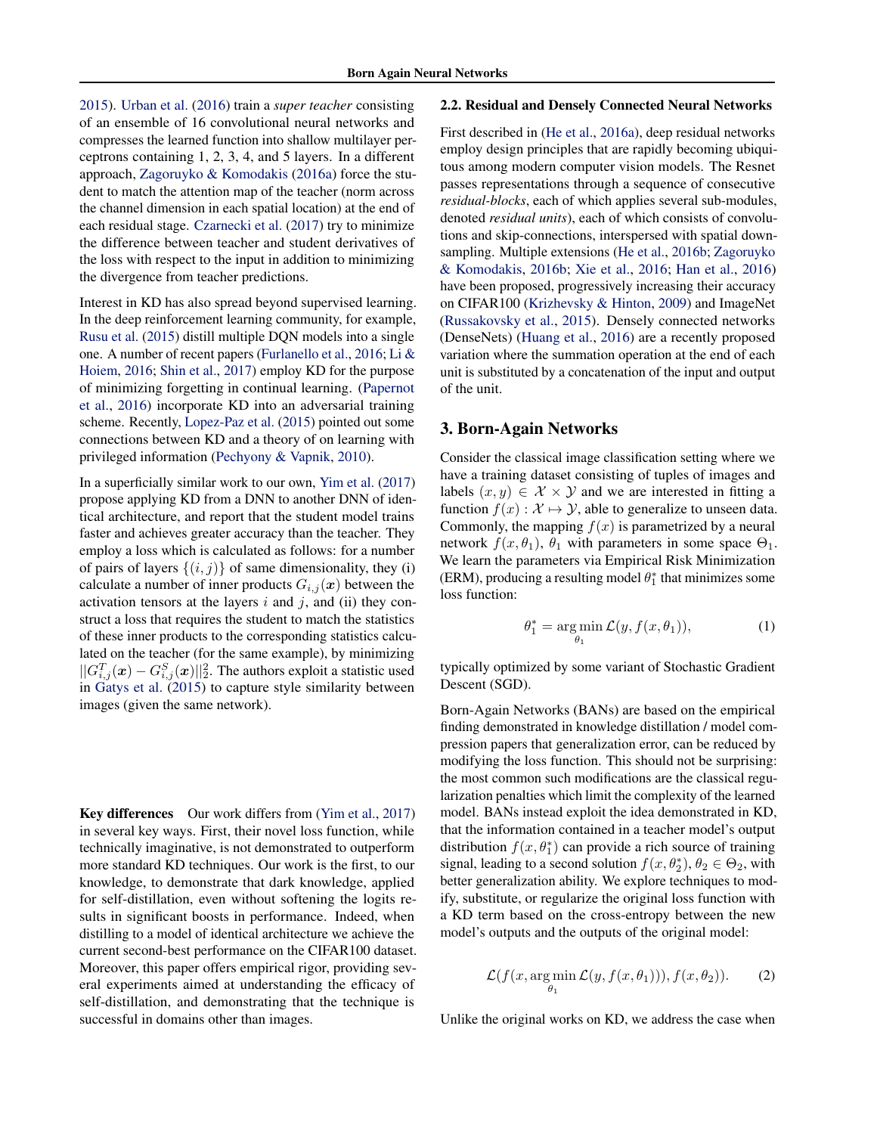[2015\)](#page-9-0). [Urban et al.](#page-9-0) [\(2016\)](#page-9-0) train a *super teacher* consisting of an ensemble of 16 convolutional neural networks and compresses the learned function into shallow multilayer perceptrons containing 1, 2, 3, 4, and 5 layers. In a different approach, [Zagoruyko & Komodakis](#page-9-0) [\(2016a\)](#page-9-0) force the student to match the attention map of the teacher (norm across the channel dimension in each spatial location) at the end of each residual stage. [Czarnecki et al.](#page-8-0) [\(2017\)](#page-8-0) try to minimize the difference between teacher and student derivatives of the loss with respect to the input in addition to minimizing the divergence from teacher predictions.

Interest in KD has also spread beyond supervised learning. In the deep reinforcement learning community, for example, [Rusu et al.](#page-9-0) [\(2015\)](#page-9-0) distill multiple DQN models into a single one. A number of recent papers [\(Furlanello et al.,](#page-8-0) [2016;](#page-8-0) [Li &](#page-8-0) [Hoiem,](#page-8-0) [2016;](#page-8-0) [Shin et al.,](#page-9-0) [2017\)](#page-9-0) employ KD for the purpose of minimizing forgetting in continual learning. [\(Papernot](#page-9-0) [et al.,](#page-9-0) [2016\)](#page-9-0) incorporate KD into an adversarial training scheme. Recently, [Lopez-Paz et al.](#page-9-0) [\(2015\)](#page-9-0) pointed out some connections between KD and a theory of on learning with privileged information [\(Pechyony & Vapnik,](#page-9-0) [2010\)](#page-9-0).

In a superficially similar work to our own, [Yim et al.](#page-9-0) [\(2017\)](#page-9-0) propose applying KD from a DNN to another DNN of identical architecture, and report that the student model trains faster and achieves greater accuracy than the teacher. They employ a loss which is calculated as follows: for a number of pairs of layers  $\{(i, j)\}\$  of same dimensionality, they (i) calculate a number of inner products  $G_{i,j}(x)$  between the activation tensors at the layers  $i$  and  $j$ , and (ii) they construct a loss that requires the student to match the statistics of these inner products to the corresponding statistics calculated on the teacher (for the same example), by minimizing  $||G_{i,j}^T(\boldsymbol{x})-G_{i,j}^S(\boldsymbol{x})||_2^2$ . The authors exploit a statistic used in [Gatys et al.](#page-8-0) [\(2015\)](#page-8-0) to capture style similarity between images (given the same network).

Key differences Our work differs from [\(Yim et al.,](#page-9-0) [2017\)](#page-9-0) in several key ways. First, their novel loss function, while technically imaginative, is not demonstrated to outperform more standard KD techniques. Our work is the first, to our knowledge, to demonstrate that dark knowledge, applied for self-distillation, even without softening the logits results in significant boosts in performance. Indeed, when distilling to a model of identical architecture we achieve the current second-best performance on the CIFAR100 dataset. Moreover, this paper offers empirical rigor, providing several experiments aimed at understanding the efficacy of self-distillation, and demonstrating that the technique is successful in domains other than images.

### 2.2. Residual and Densely Connected Neural Networks

First described in [\(He et al.,](#page-8-0) [2016a\)](#page-8-0), deep residual networks employ design principles that are rapidly becoming ubiquitous among modern computer vision models. The Resnet passes representations through a sequence of consecutive *residual-blocks*, each of which applies several sub-modules, denoted *residual units*), each of which consists of convolutions and skip-connections, interspersed with spatial downsampling. Multiple extensions [\(He et al.,](#page-8-0) [2016b;](#page-8-0) [Zagoruyko](#page-9-0) [& Komodakis,](#page-9-0) [2016b;](#page-9-0) [Xie et al.,](#page-9-0) [2016;](#page-9-0) [Han et al.,](#page-8-0) [2016\)](#page-8-0) have been proposed, progressively increasing their accuracy on CIFAR100 [\(Krizhevsky & Hinton,](#page-8-0) [2009\)](#page-8-0) and ImageNet [\(Russakovsky et al.,](#page-9-0) [2015\)](#page-9-0). Densely connected networks (DenseNets) [\(Huang et al.,](#page-8-0) [2016\)](#page-8-0) are a recently proposed variation where the summation operation at the end of each unit is substituted by a concatenation of the input and output of the unit.

## 3. Born-Again Networks

Consider the classical image classification setting where we have a training dataset consisting of tuples of images and labels  $(x, y) \in \mathcal{X} \times \mathcal{Y}$  and we are interested in fitting a function  $f(x) : \mathcal{X} \mapsto \mathcal{Y}$ , able to generalize to unseen data. Commonly, the mapping  $f(x)$  is parametrized by a neural network  $f(x, \theta_1)$ ,  $\theta_1$  with parameters in some space  $\Theta_1$ . We learn the parameters via Empirical Risk Minimization (ERM), producing a resulting model  $\theta_1^*$  that minimizes some loss function:

$$
\theta_1^* = \underset{\theta_1}{\arg\min} \mathcal{L}(y, f(x, \theta_1)), \tag{1}
$$

typically optimized by some variant of Stochastic Gradient Descent (SGD).

Born-Again Networks (BANs) are based on the empirical finding demonstrated in knowledge distillation / model compression papers that generalization error, can be reduced by modifying the loss function. This should not be surprising: the most common such modifications are the classical regularization penalties which limit the complexity of the learned model. BANs instead exploit the idea demonstrated in KD, that the information contained in a teacher model's output distribution  $f(x, \theta_1^*)$  can provide a rich source of training signal, leading to a second solution  $f(x, \theta_2^*), \theta_2 \in \Theta_2$ , with better generalization ability. We explore techniques to modify, substitute, or regularize the original loss function with a KD term based on the cross-entropy between the new model's outputs and the outputs of the original model:

$$
\mathcal{L}(f(x, \arg\min_{\theta_1} \mathcal{L}(y, f(x, \theta_1))), f(x, \theta_2)).
$$
 (2)

Unlike the original works on KD, we address the case when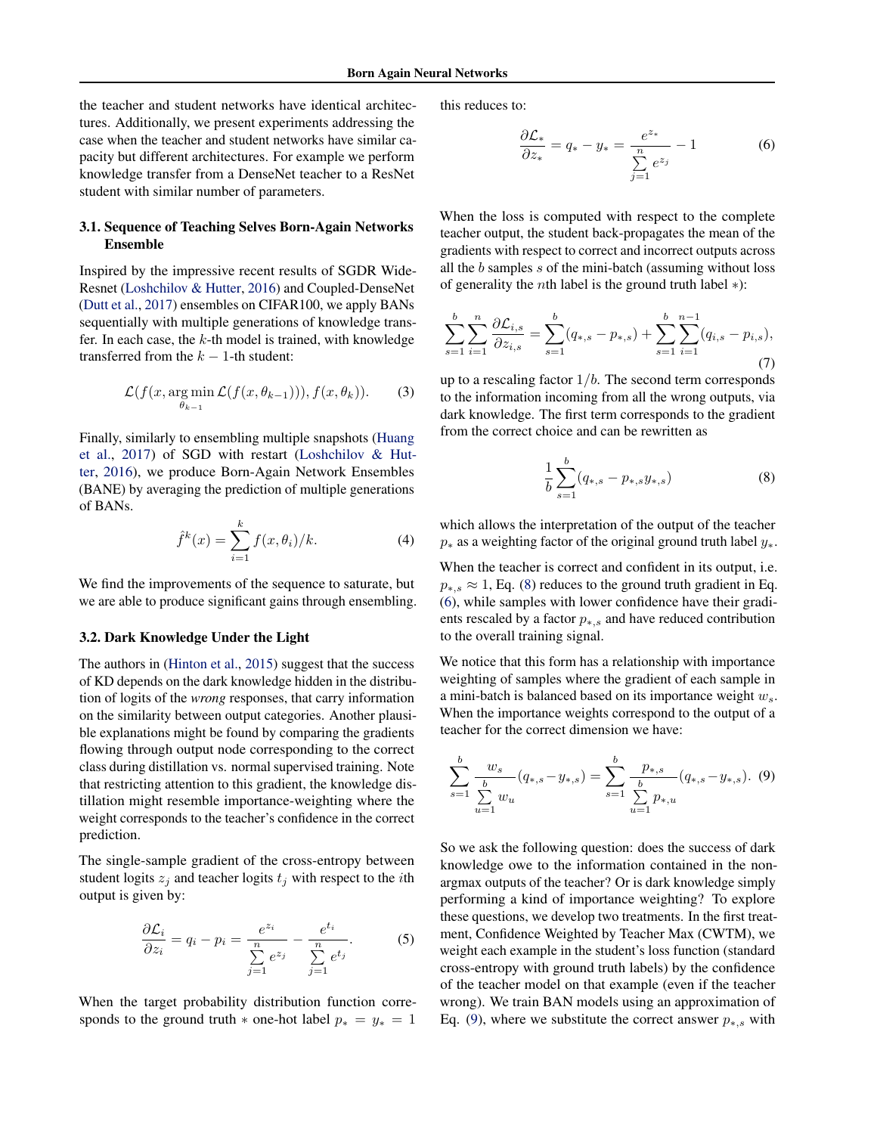<span id="page-3-0"></span>the teacher and student networks have identical architectures. Additionally, we present experiments addressing the case when the teacher and student networks have similar capacity but different architectures. For example we perform knowledge transfer from a DenseNet teacher to a ResNet student with similar number of parameters.

## 3.1. Sequence of Teaching Selves Born-Again Networks Ensemble

Inspired by the impressive recent results of SGDR Wide-Resnet [\(Loshchilov & Hutter,](#page-9-0) [2016\)](#page-9-0) and Coupled-DenseNet [\(Dutt et al.,](#page-8-0) [2017\)](#page-8-0) ensembles on CIFAR100, we apply BANs sequentially with multiple generations of knowledge transfer. In each case, the  $k$ -th model is trained, with knowledge transferred from the  $k - 1$ -th student:

$$
\mathcal{L}(f(x, \arg\min_{\theta_{k-1}} \mathcal{L}(f(x, \theta_{k-1}))), f(x, \theta_k)).
$$
 (3)

Finally, similarly to ensembling multiple snapshots [\(Huang](#page-8-0) [et al.,](#page-8-0) [2017\)](#page-8-0) of SGD with restart [\(Loshchilov & Hut](#page-9-0)[ter,](#page-9-0) [2016\)](#page-9-0), we produce Born-Again Network Ensembles (BANE) by averaging the prediction of multiple generations of BANs.

$$
\hat{f}^{k}(x) = \sum_{i=1}^{k} f(x, \theta_i) / k.
$$
 (4)

We find the improvements of the sequence to saturate, but we are able to produce significant gains through ensembling.

### 3.2. Dark Knowledge Under the Light

The authors in [\(Hinton et al.,](#page-8-0) [2015\)](#page-8-0) suggest that the success of KD depends on the dark knowledge hidden in the distribution of logits of the *wrong* responses, that carry information on the similarity between output categories. Another plausible explanations might be found by comparing the gradients flowing through output node corresponding to the correct class during distillation vs. normal supervised training. Note that restricting attention to this gradient, the knowledge distillation might resemble importance-weighting where the weight corresponds to the teacher's confidence in the correct prediction.

The single-sample gradient of the cross-entropy between student logits  $z_j$  and teacher logits  $t_j$  with respect to the *i*th output is given by:

$$
\frac{\partial \mathcal{L}_i}{\partial z_i} = q_i - p_i = \frac{e^{z_i}}{\sum\limits_{j=1}^n e^{z_j}} - \frac{e^{t_i}}{\sum\limits_{j=1}^n e^{t_j}}.
$$
 (5)

When the target probability distribution function corresponds to the ground truth  $*$  one-hot label  $p_* = y_* = 1$ 

this reduces to:

$$
\frac{\partial \mathcal{L}_*}{\partial z_*} = q_* - y_* = \frac{e^{z_*}}{\sum_{j=1}^n e^{z_j}} - 1 \tag{6}
$$

When the loss is computed with respect to the complete teacher output, the student back-propagates the mean of the gradients with respect to correct and incorrect outputs across all the b samples s of the mini-batch (assuming without loss of generality the nth label is the ground truth label ∗):

$$
\sum_{s=1}^{b} \sum_{i=1}^{n} \frac{\partial \mathcal{L}_{i,s}}{\partial z_{i,s}} = \sum_{s=1}^{b} (q_{*,s} - p_{*,s}) + \sum_{s=1}^{b} \sum_{i=1}^{n-1} (q_{i,s} - p_{i,s}),
$$
\n(7)

up to a rescaling factor  $1/b$ . The second term corresponds to the information incoming from all the wrong outputs, via dark knowledge. The first term corresponds to the gradient from the correct choice and can be rewritten as

$$
\frac{1}{b} \sum_{s=1}^{b} (q_{*,s} - p_{*,s} y_{*,s}) \tag{8}
$$

which allows the interpretation of the output of the teacher  $p_*$  as a weighting factor of the original ground truth label  $y_*$ .

When the teacher is correct and confident in its output, i.e.  $p_{*,s} \approx 1$ , Eq. (8) reduces to the ground truth gradient in Eq. (6), while samples with lower confidence have their gradients rescaled by a factor  $p_{*,s}$  and have reduced contribution to the overall training signal.

We notice that this form has a relationship with importance weighting of samples where the gradient of each sample in a mini-batch is balanced based on its importance weight  $w_s$ . When the importance weights correspond to the output of a teacher for the correct dimension we have:

$$
\sum_{s=1}^{b} \frac{w_s}{\sum_{u=1}^{b} w_u} (q_{*,s} - y_{*,s}) = \sum_{s=1}^{b} \frac{p_{*,s}}{\sum_{u=1}^{b} p_{*,u}} (q_{*,s} - y_{*,s}).
$$
 (9)

So we ask the following question: does the success of dark knowledge owe to the information contained in the nonargmax outputs of the teacher? Or is dark knowledge simply performing a kind of importance weighting? To explore these questions, we develop two treatments. In the first treatment, Confidence Weighted by Teacher Max (CWTM), we weight each example in the student's loss function (standard cross-entropy with ground truth labels) by the confidence of the teacher model on that example (even if the teacher wrong). We train BAN models using an approximation of Eq. (9), where we substitute the correct answer  $p_{*,s}$  with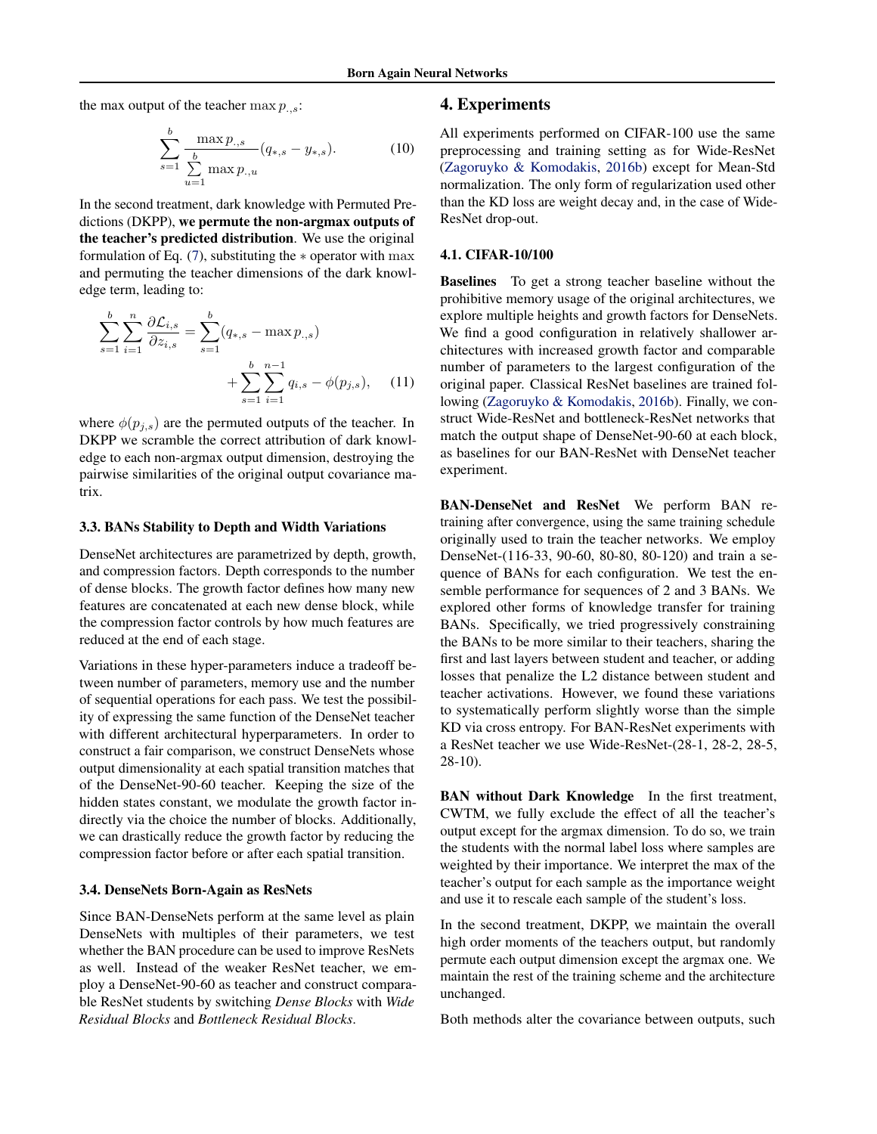the max output of the teacher  $\max p_{\ldots,s}$ :

$$
\sum_{s=1}^{b} \frac{\max p_{.,s}}{\sum\limits_{u=1}^{b} \max p_{.,u}} (q_{*,s} - y_{*,s}).
$$
 (10)

In the second treatment, dark knowledge with Permuted Predictions (DKPP), we permute the non-argmax outputs of the teacher's predicted distribution. We use the original formulation of Eq.  $(7)$ , substituting the  $*$  operator with max and permuting the teacher dimensions of the dark knowledge term, leading to:

$$
\sum_{s=1}^{b} \sum_{i=1}^{n} \frac{\partial \mathcal{L}_{i,s}}{\partial z_{i,s}} = \sum_{s=1}^{b} (q_{*,s} - \max p_{.,s}) + \sum_{s=1}^{b} \sum_{i=1}^{n-1} q_{i,s} - \phi(p_{j,s}), \quad (11)
$$

where  $\phi(p_{i,s})$  are the permuted outputs of the teacher. In DKPP we scramble the correct attribution of dark knowledge to each non-argmax output dimension, destroying the pairwise similarities of the original output covariance matrix.

### 3.3. BANs Stability to Depth and Width Variations

DenseNet architectures are parametrized by depth, growth, and compression factors. Depth corresponds to the number of dense blocks. The growth factor defines how many new features are concatenated at each new dense block, while the compression factor controls by how much features are reduced at the end of each stage.

Variations in these hyper-parameters induce a tradeoff between number of parameters, memory use and the number of sequential operations for each pass. We test the possibility of expressing the same function of the DenseNet teacher with different architectural hyperparameters. In order to construct a fair comparison, we construct DenseNets whose output dimensionality at each spatial transition matches that of the DenseNet-90-60 teacher. Keeping the size of the hidden states constant, we modulate the growth factor indirectly via the choice the number of blocks. Additionally, we can drastically reduce the growth factor by reducing the compression factor before or after each spatial transition.

### 3.4. DenseNets Born-Again as ResNets

Since BAN-DenseNets perform at the same level as plain DenseNets with multiples of their parameters, we test whether the BAN procedure can be used to improve ResNets as well. Instead of the weaker ResNet teacher, we employ a DenseNet-90-60 as teacher and construct comparable ResNet students by switching *Dense Blocks* with *Wide Residual Blocks* and *Bottleneck Residual Blocks*.

## 4. Experiments

All experiments performed on CIFAR-100 use the same preprocessing and training setting as for Wide-ResNet [\(Zagoruyko & Komodakis,](#page-9-0) [2016b\)](#page-9-0) except for Mean-Std normalization. The only form of regularization used other than the KD loss are weight decay and, in the case of Wide-ResNet drop-out.

#### 4.1. CIFAR-10/100

Baselines To get a strong teacher baseline without the prohibitive memory usage of the original architectures, we explore multiple heights and growth factors for DenseNets. We find a good configuration in relatively shallower architectures with increased growth factor and comparable number of parameters to the largest configuration of the original paper. Classical ResNet baselines are trained following [\(Zagoruyko & Komodakis,](#page-9-0) [2016b\)](#page-9-0). Finally, we construct Wide-ResNet and bottleneck-ResNet networks that match the output shape of DenseNet-90-60 at each block, as baselines for our BAN-ResNet with DenseNet teacher experiment.

BAN-DenseNet and ResNet We perform BAN retraining after convergence, using the same training schedule originally used to train the teacher networks. We employ DenseNet-(116-33, 90-60, 80-80, 80-120) and train a sequence of BANs for each configuration. We test the ensemble performance for sequences of 2 and 3 BANs. We explored other forms of knowledge transfer for training BANs. Specifically, we tried progressively constraining the BANs to be more similar to their teachers, sharing the first and last layers between student and teacher, or adding losses that penalize the L2 distance between student and teacher activations. However, we found these variations to systematically perform slightly worse than the simple KD via cross entropy. For BAN-ResNet experiments with a ResNet teacher we use Wide-ResNet-(28-1, 28-2, 28-5, 28-10).

BAN without Dark Knowledge In the first treatment, CWTM, we fully exclude the effect of all the teacher's output except for the argmax dimension. To do so, we train the students with the normal label loss where samples are weighted by their importance. We interpret the max of the teacher's output for each sample as the importance weight and use it to rescale each sample of the student's loss.

In the second treatment, DKPP, we maintain the overall high order moments of the teachers output, but randomly permute each output dimension except the argmax one. We maintain the rest of the training scheme and the architecture unchanged.

Both methods alter the covariance between outputs, such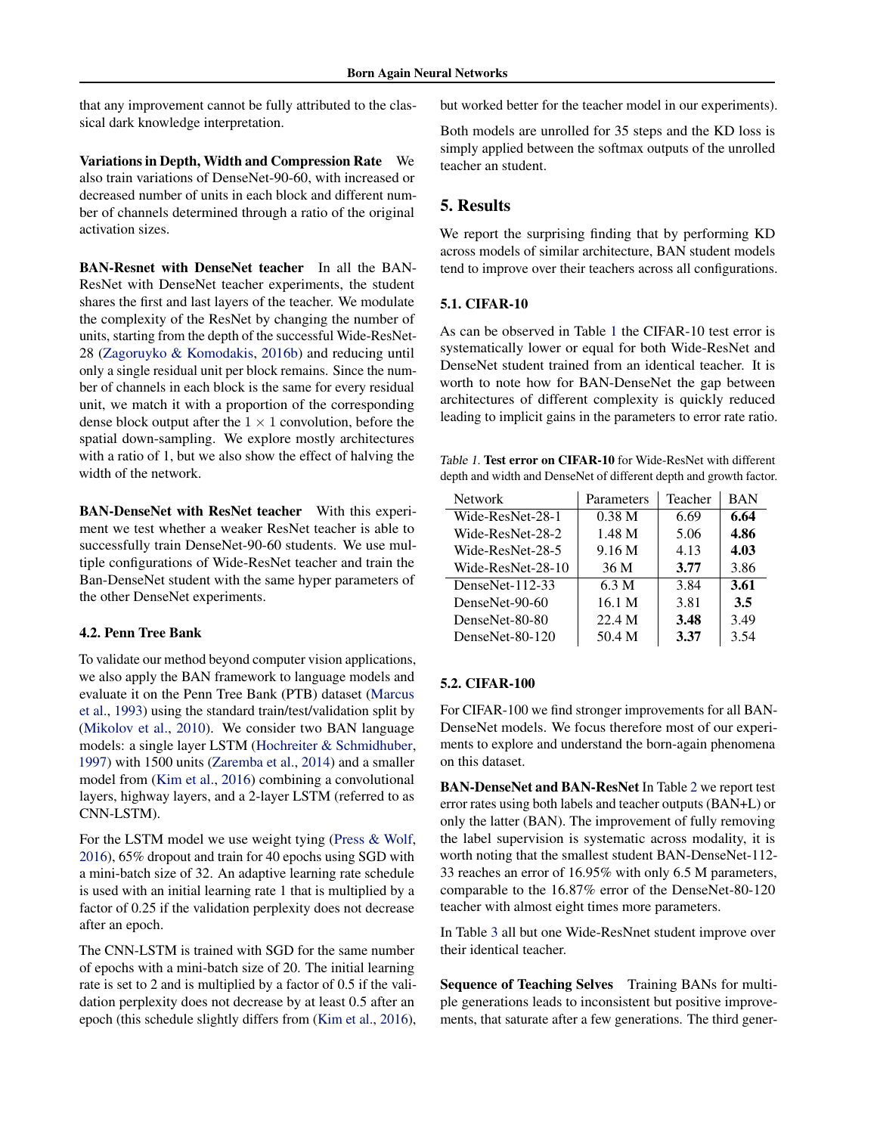that any improvement cannot be fully attributed to the classical dark knowledge interpretation.

Variations in Depth, Width and Compression Rate We also train variations of DenseNet-90-60, with increased or decreased number of units in each block and different number of channels determined through a ratio of the original activation sizes.

BAN-Resnet with DenseNet teacher In all the BAN-ResNet with DenseNet teacher experiments, the student shares the first and last layers of the teacher. We modulate the complexity of the ResNet by changing the number of units, starting from the depth of the successful Wide-ResNet-28 [\(Zagoruyko & Komodakis,](#page-9-0) [2016b\)](#page-9-0) and reducing until only a single residual unit per block remains. Since the number of channels in each block is the same for every residual unit, we match it with a proportion of the corresponding dense block output after the  $1 \times 1$  convolution, before the spatial down-sampling. We explore mostly architectures with a ratio of 1, but we also show the effect of halving the width of the network.

BAN-DenseNet with ResNet teacher With this experiment we test whether a weaker ResNet teacher is able to successfully train DenseNet-90-60 students. We use multiple configurations of Wide-ResNet teacher and train the Ban-DenseNet student with the same hyper parameters of the other DenseNet experiments.

### 4.2. Penn Tree Bank

To validate our method beyond computer vision applications, we also apply the BAN framework to language models and evaluate it on the Penn Tree Bank (PTB) dataset [\(Marcus](#page-9-0) [et al.,](#page-9-0) [1993\)](#page-9-0) using the standard train/test/validation split by [\(Mikolov et al.,](#page-9-0) [2010\)](#page-9-0). We consider two BAN language models: a single layer LSTM [\(Hochreiter & Schmidhuber,](#page-8-0) [1997\)](#page-8-0) with 1500 units [\(Zaremba et al.,](#page-9-0) [2014\)](#page-9-0) and a smaller model from [\(Kim et al.,](#page-8-0) [2016\)](#page-8-0) combining a convolutional layers, highway layers, and a 2-layer LSTM (referred to as CNN-LSTM).

For the LSTM model we use weight tying [\(Press & Wolf,](#page-9-0) [2016\)](#page-9-0), 65% dropout and train for 40 epochs using SGD with a mini-batch size of 32. An adaptive learning rate schedule is used with an initial learning rate 1 that is multiplied by a factor of 0.25 if the validation perplexity does not decrease after an epoch.

The CNN-LSTM is trained with SGD for the same number of epochs with a mini-batch size of 20. The initial learning rate is set to 2 and is multiplied by a factor of 0.5 if the validation perplexity does not decrease by at least 0.5 after an epoch (this schedule slightly differs from [\(Kim et al.,](#page-8-0) [2016\)](#page-8-0), but worked better for the teacher model in our experiments).

Both models are unrolled for 35 steps and the KD loss is simply applied between the softmax outputs of the unrolled teacher an student.

# 5. Results

We report the surprising finding that by performing KD across models of similar architecture, BAN student models tend to improve over their teachers across all configurations.

## 5.1. CIFAR-10

As can be observed in Table 1 the CIFAR-10 test error is systematically lower or equal for both Wide-ResNet and DenseNet student trained from an identical teacher. It is worth to note how for BAN-DenseNet the gap between architectures of different complexity is quickly reduced leading to implicit gains in the parameters to error rate ratio.

Table 1. Test error on CIFAR-10 for Wide-ResNet with different depth and width and DenseNet of different depth and growth factor.

| <b>Network</b>     | Parameters        | Teacher | <b>BAN</b> |
|--------------------|-------------------|---------|------------|
| Wide-ResNet-28-1   | 0.38 <sub>M</sub> | 6.69    | 6.64       |
| Wide-ResNet-28-2   | 1.48 <sub>M</sub> | 5.06    | 4.86       |
| Wide-ResNet-28-5   | 9.16 M            | 4.13    | 4.03       |
| Wide-ResNet-28-10  | 36 M              | 3.77    | 3.86       |
| DenseNet- $112-33$ | 6.3 M             | 3.84    | 3.61       |
| DenseNet-90-60     | 16.1 M            | 3.81    | 3.5        |
| DenseNet-80-80     | 22.4 M            | 3.48    | 3.49       |
| DenseNet-80-120    | 50.4 M            | 3.37    | 3.54       |

## 5.2. CIFAR-100

For CIFAR-100 we find stronger improvements for all BAN-DenseNet models. We focus therefore most of our experiments to explore and understand the born-again phenomena on this dataset.

BAN-DenseNet and BAN-ResNet In Table [2](#page-6-0) we report test error rates using both labels and teacher outputs (BAN+L) or only the latter (BAN). The improvement of fully removing the label supervision is systematic across modality, it is worth noting that the smallest student BAN-DenseNet-112- 33 reaches an error of 16.95% with only 6.5 M parameters, comparable to the 16.87% error of the DenseNet-80-120 teacher with almost eight times more parameters.

In Table [3](#page-6-0) all but one Wide-ResNnet student improve over their identical teacher.

Sequence of Teaching Selves Training BANs for multiple generations leads to inconsistent but positive improvements, that saturate after a few generations. The third gener-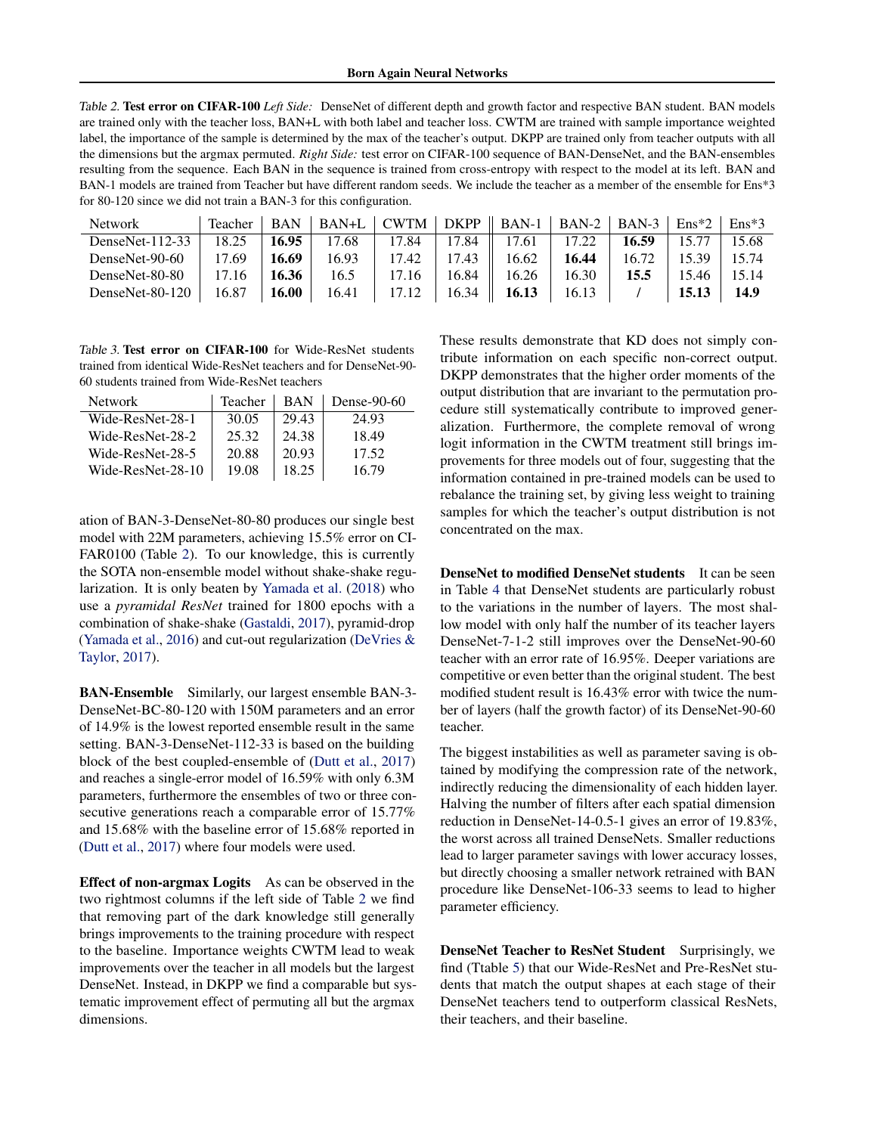<span id="page-6-0"></span>Table 2. Test error on CIFAR-100 *Left Side:* DenseNet of different depth and growth factor and respective BAN student. BAN models are trained only with the teacher loss, BAN+L with both label and teacher loss. CWTM are trained with sample importance weighted label, the importance of the sample is determined by the max of the teacher's output. DKPP are trained only from teacher outputs with all the dimensions but the argmax permuted. *Right Side:* test error on CIFAR-100 sequence of BAN-DenseNet, and the BAN-ensembles resulting from the sequence. Each BAN in the sequence is trained from cross-entropy with respect to the model at its left. BAN and BAN-1 models are trained from Teacher but have different random seeds. We include the teacher as a member of the ensemble for Ens\*3 for 80-120 since we did not train a BAN-3 for this configuration.

| Network            | Teacher | <b>BAN</b> | BAN+L | CWTM  |       | $\vert$ DKPP $\vert$ BAN-1 $\vert$ BAN-2 $\vert$ BAN-3 $\vert$ |       |       | $E$ ns <sup>*2</sup> | $Ens*3$ |
|--------------------|---------|------------|-------|-------|-------|----------------------------------------------------------------|-------|-------|----------------------|---------|
| DenseNet- $112-33$ | 18.25   | 16.95      | 17.68 | 17.84 | 17.84 | 17.61                                                          | 17.22 | 16.59 | 15.77                | 15.68   |
| DenseNet-90-60     | 17.69   | 16.69      | 16.93 | 17.42 | 17.43 | 16.62                                                          | 16.44 | 16.72 | 15.39                | 15.74   |
| DenseNet-80-80     | 17.16   | 16.36      | 16.5  | 17.16 | 16.84 | 16.26                                                          | 16.30 | 15.5  | 15.46                | 15.14   |
| DenseNet-80-120    | 16.87   | 16.00      | 16.41 | 17.12 | 16.34 | 16.13                                                          | 16.13 |       | 15.13                | 14.9    |

Table 3. Test error on CIFAR-100 for Wide-ResNet students trained from identical Wide-ResNet teachers and for DenseNet-90- 60 students trained from Wide-ResNet teachers

| Network           | Teacher | <b>BAN</b> | Dense-90-60 |
|-------------------|---------|------------|-------------|
| Wide-ResNet-28-1  | 30.05   | 29.43      | 24.93       |
| Wide-ResNet-28-2  | 25.32   | 24.38      | 18.49       |
| Wide-ResNet-28-5  | 20.88   | 20.93      | 17.52       |
| Wide-ResNet-28-10 | 19.08   | 18.25      | 16.79       |

ation of BAN-3-DenseNet-80-80 produces our single best model with 22M parameters, achieving 15.5% error on CI-FAR0100 (Table 2). To our knowledge, this is currently the SOTA non-ensemble model without shake-shake regularization. It is only beaten by [Yamada et al.](#page-9-0) [\(2018\)](#page-9-0) who use a *pyramidal ResNet* trained for 1800 epochs with a combination of shake-shake [\(Gastaldi,](#page-8-0) [2017\)](#page-8-0), pyramid-drop [\(Yamada et al.,](#page-9-0) [2016\)](#page-9-0) and cut-out regularization [\(DeVries &](#page-8-0) [Taylor,](#page-8-0) [2017\)](#page-8-0).

BAN-Ensemble Similarly, our largest ensemble BAN-3- DenseNet-BC-80-120 with 150M parameters and an error of 14.9% is the lowest reported ensemble result in the same setting. BAN-3-DenseNet-112-33 is based on the building block of the best coupled-ensemble of [\(Dutt et al.,](#page-8-0) [2017\)](#page-8-0) and reaches a single-error model of 16.59% with only 6.3M parameters, furthermore the ensembles of two or three consecutive generations reach a comparable error of 15.77% and 15.68% with the baseline error of 15.68% reported in [\(Dutt et al.,](#page-8-0) [2017\)](#page-8-0) where four models were used.

Effect of non-argmax Logits As can be observed in the two rightmost columns if the left side of Table 2 we find that removing part of the dark knowledge still generally brings improvements to the training procedure with respect to the baseline. Importance weights CWTM lead to weak improvements over the teacher in all models but the largest DenseNet. Instead, in DKPP we find a comparable but systematic improvement effect of permuting all but the argmax dimensions.

These results demonstrate that KD does not simply contribute information on each specific non-correct output. DKPP demonstrates that the higher order moments of the output distribution that are invariant to the permutation procedure still systematically contribute to improved generalization. Furthermore, the complete removal of wrong logit information in the CWTM treatment still brings improvements for three models out of four, suggesting that the information contained in pre-trained models can be used to rebalance the training set, by giving less weight to training samples for which the teacher's output distribution is not concentrated on the max.

DenseNet to modified DenseNet students It can be seen in Table [4](#page-7-0) that DenseNet students are particularly robust to the variations in the number of layers. The most shallow model with only half the number of its teacher layers DenseNet-7-1-2 still improves over the DenseNet-90-60 teacher with an error rate of 16.95%. Deeper variations are competitive or even better than the original student. The best modified student result is 16.43% error with twice the number of layers (half the growth factor) of its DenseNet-90-60 teacher.

The biggest instabilities as well as parameter saving is obtained by modifying the compression rate of the network, indirectly reducing the dimensionality of each hidden layer. Halving the number of filters after each spatial dimension reduction in DenseNet-14-0.5-1 gives an error of 19.83%, the worst across all trained DenseNets. Smaller reductions lead to larger parameter savings with lower accuracy losses, but directly choosing a smaller network retrained with BAN procedure like DenseNet-106-33 seems to lead to higher parameter efficiency.

DenseNet Teacher to ResNet Student Surprisingly, we find (Ttable [5\)](#page-7-0) that our Wide-ResNet and Pre-ResNet students that match the output shapes at each stage of their DenseNet teachers tend to outperform classical ResNets, their teachers, and their baseline.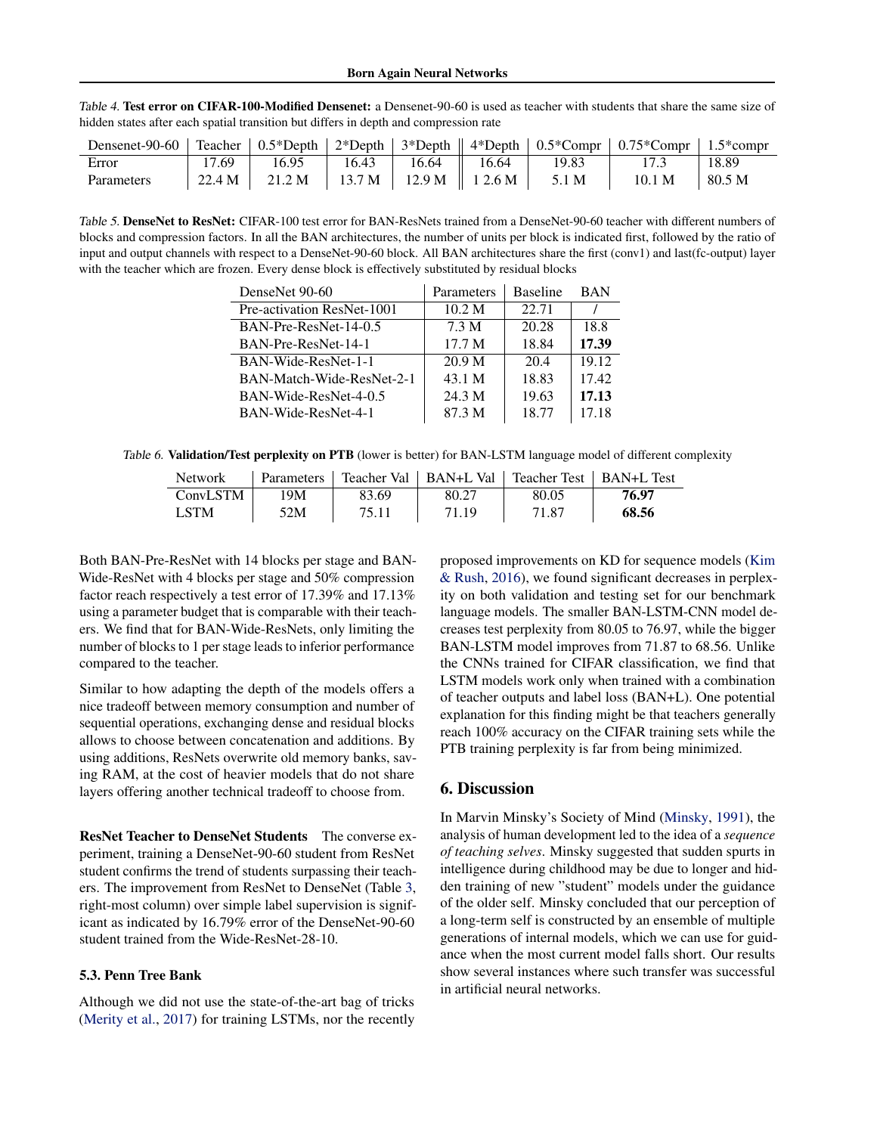| Densenet-90-60 |        | Teacher $\vert 0.5 \times \text{Depth} \vert 2 \times \text{Depth} \vert$ |        |                 |       |       | $\vert$ 3*Depth $\vert$ 4*Depth $\vert$ 0.5*Compr $\vert$ 0.75*Compr $\vert$ 1.5*compr |        |
|----------------|--------|---------------------------------------------------------------------------|--------|-----------------|-------|-------|----------------------------------------------------------------------------------------|--------|
| Error          | .69    | 16.95                                                                     | 16.43  | 16.64           | 16.64 | 19.83 |                                                                                        | 18.89  |
| Parameters     | 22.4 M | 21.2 M                                                                    | 13.7 M | 12.9 M   12.6 M |       | 5.1 M | 10.1 M                                                                                 | 80.5 M |

<span id="page-7-0"></span>Table 4. Test error on CIFAR-100-Modified Densenet: a Densenet-90-60 is used as teacher with students that share the same size of hidden states after each spatial transition but differs in depth and compression rate

Table 5. DenseNet to ResNet: CIFAR-100 test error for BAN-ResNets trained from a DenseNet-90-60 teacher with different numbers of blocks and compression factors. In all the BAN architectures, the number of units per block is indicated first, followed by the ratio of input and output channels with respect to a DenseNet-90-60 block. All BAN architectures share the first (conv1) and last(fc-output) layer with the teacher which are frozen. Every dense block is effectively substituted by residual blocks

| DenseNet 90-60             | Parameters | <b>Baseline</b> | <b>BAN</b> |
|----------------------------|------------|-----------------|------------|
| Pre-activation ResNet-1001 | 10.2 M     | 22.71           |            |
| BAN-Pre-ResNet-14-0.5      | 7.3 M      | 20.28           | 18.8       |
| BAN-Pre-ResNet-14-1        | 17.7 M     | 18.84           | 17.39      |
| BAN-Wide-ResNet-1-1        | 20.9 M     | 20.4            | 19.12      |
| BAN-Match-Wide-ResNet-2-1  | 43.1 M     | 18.83           | 17.42      |
| BAN-Wide-ResNet-4-0.5      | 24.3 M     | 19.63           | 17.13      |
| BAN-Wide-ResNet-4-1        | 87.3 M     | 18.77           | 17.18      |

Table 6. Validation/Test perplexity on PTB (lower is better) for BAN-LSTM language model of different complexity

| <b>Network</b> |     |       |       | Parameters   Teacher Val   BAN+L Val   Teacher Test   BAN+L Test |       |
|----------------|-----|-------|-------|------------------------------------------------------------------|-------|
| ConvLSTM       | 19M | 83.69 | 80.27 | 80.05                                                            | 76.97 |
| <b>LSTM</b>    | 52M | 75.11 | 71.19 | 71.87                                                            | 68.56 |

Both BAN-Pre-ResNet with 14 blocks per stage and BAN-Wide-ResNet with 4 blocks per stage and 50% compression factor reach respectively a test error of 17.39% and 17.13% using a parameter budget that is comparable with their teachers. We find that for BAN-Wide-ResNets, only limiting the number of blocks to 1 per stage leads to inferior performance compared to the teacher.

Similar to how adapting the depth of the models offers a nice tradeoff between memory consumption and number of sequential operations, exchanging dense and residual blocks allows to choose between concatenation and additions. By using additions, ResNets overwrite old memory banks, saving RAM, at the cost of heavier models that do not share layers offering another technical tradeoff to choose from.

ResNet Teacher to DenseNet Students The converse experiment, training a DenseNet-90-60 student from ResNet student confirms the trend of students surpassing their teachers. The improvement from ResNet to DenseNet (Table [3,](#page-6-0) right-most column) over simple label supervision is significant as indicated by 16.79% error of the DenseNet-90-60 student trained from the Wide-ResNet-28-10.

## 5.3. Penn Tree Bank

Although we did not use the state-of-the-art bag of tricks [\(Merity et al.,](#page-9-0) [2017\)](#page-9-0) for training LSTMs, nor the recently proposed improvements on KD for sequence models [\(Kim](#page-8-0) [& Rush,](#page-8-0) [2016\)](#page-8-0), we found significant decreases in perplexity on both validation and testing set for our benchmark language models. The smaller BAN-LSTM-CNN model decreases test perplexity from 80.05 to 76.97, while the bigger BAN-LSTM model improves from 71.87 to 68.56. Unlike the CNNs trained for CIFAR classification, we find that LSTM models work only when trained with a combination of teacher outputs and label loss (BAN+L). One potential explanation for this finding might be that teachers generally reach 100% accuracy on the CIFAR training sets while the PTB training perplexity is far from being minimized.

## 6. Discussion

In Marvin Minsky's Society of Mind [\(Minsky,](#page-9-0) [1991\)](#page-9-0), the analysis of human development led to the idea of a *sequence of teaching selves*. Minsky suggested that sudden spurts in intelligence during childhood may be due to longer and hidden training of new "student" models under the guidance of the older self. Minsky concluded that our perception of a long-term self is constructed by an ensemble of multiple generations of internal models, which we can use for guidance when the most current model falls short. Our results show several instances where such transfer was successful in artificial neural networks.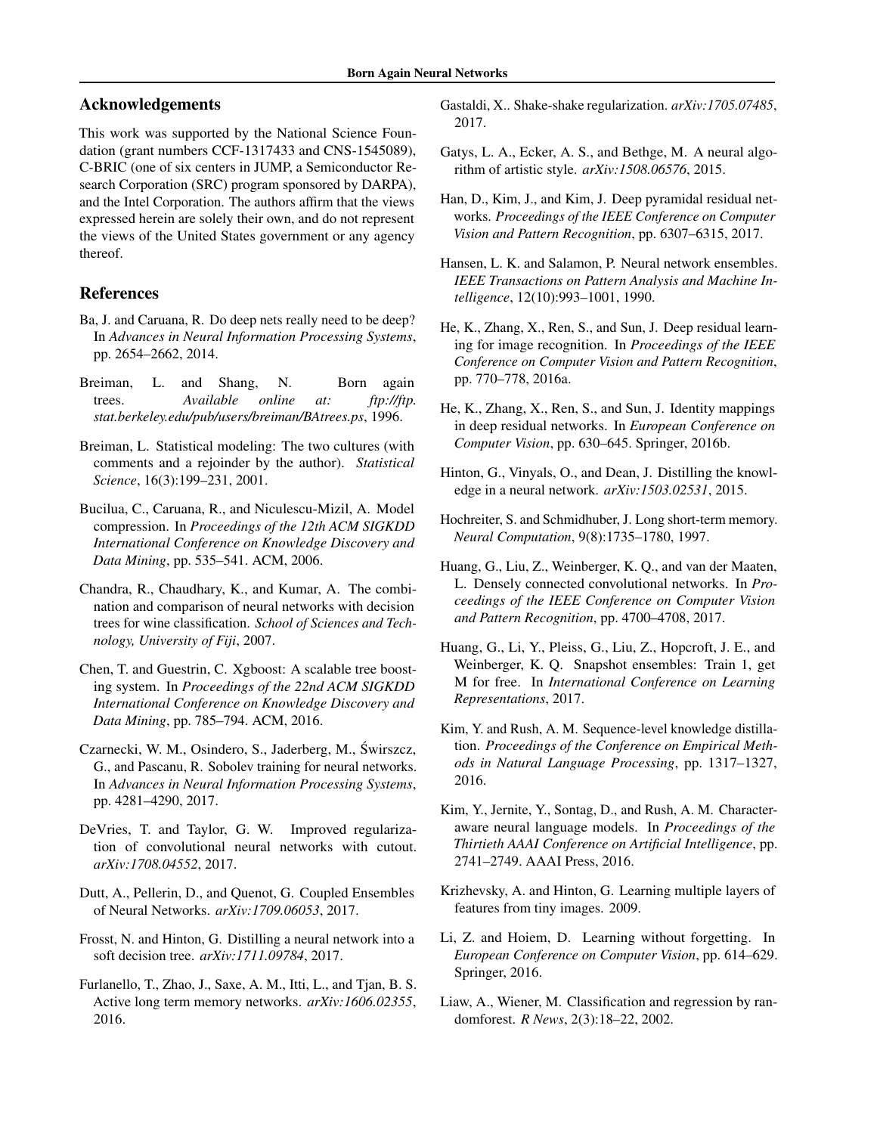# <span id="page-8-0"></span>Acknowledgements

This work was supported by the National Science Foundation (grant numbers CCF-1317433 and CNS-1545089), C-BRIC (one of six centers in JUMP, a Semiconductor Research Corporation (SRC) program sponsored by DARPA), and the Intel Corporation. The authors affirm that the views expressed herein are solely their own, and do not represent the views of the United States government or any agency thereof.

# References

- Ba, J. and Caruana, R. Do deep nets really need to be deep? In *Advances in Neural Information Processing Systems*, pp. 2654–2662, 2014.
- Breiman, L. and Shang, N. Born again trees. *Available online at: ftp://ftp. stat.berkeley.edu/pub/users/breiman/BAtrees.ps*, 1996.
- Breiman, L. Statistical modeling: The two cultures (with comments and a rejoinder by the author). *Statistical Science*, 16(3):199–231, 2001.
- Bucilua, C., Caruana, R., and Niculescu-Mizil, A. Model compression. In *Proceedings of the 12th ACM SIGKDD International Conference on Knowledge Discovery and Data Mining*, pp. 535–541. ACM, 2006.
- Chandra, R., Chaudhary, K., and Kumar, A. The combination and comparison of neural networks with decision trees for wine classification. *School of Sciences and Technology, University of Fiji*, 2007.
- Chen, T. and Guestrin, C. Xgboost: A scalable tree boosting system. In *Proceedings of the 22nd ACM SIGKDD International Conference on Knowledge Discovery and Data Mining*, pp. 785–794. ACM, 2016.
- Czarnecki, W. M., Osindero, S., Jaderberg, M., Swirszcz, ´ G., and Pascanu, R. Sobolev training for neural networks. In *Advances in Neural Information Processing Systems*, pp. 4281–4290, 2017.
- DeVries, T. and Taylor, G. W. Improved regularization of convolutional neural networks with cutout. *arXiv:1708.04552*, 2017.
- Dutt, A., Pellerin, D., and Quenot, G. Coupled Ensembles of Neural Networks. *arXiv:1709.06053*, 2017.
- Frosst, N. and Hinton, G. Distilling a neural network into a soft decision tree. *arXiv:1711.09784*, 2017.
- Furlanello, T., Zhao, J., Saxe, A. M., Itti, L., and Tjan, B. S. Active long term memory networks. *arXiv:1606.02355*, 2016.
- Gastaldi, X.. Shake-shake regularization. *arXiv:1705.07485*, 2017.
- Gatys, L. A., Ecker, A. S., and Bethge, M. A neural algorithm of artistic style. *arXiv:1508.06576*, 2015.
- Han, D., Kim, J., and Kim, J. Deep pyramidal residual networks. *Proceedings of the IEEE Conference on Computer Vision and Pattern Recognition*, pp. 6307–6315, 2017.
- Hansen, L. K. and Salamon, P. Neural network ensembles. *IEEE Transactions on Pattern Analysis and Machine Intelligence*, 12(10):993–1001, 1990.
- He, K., Zhang, X., Ren, S., and Sun, J. Deep residual learning for image recognition. In *Proceedings of the IEEE Conference on Computer Vision and Pattern Recognition*, pp. 770–778, 2016a.
- He, K., Zhang, X., Ren, S., and Sun, J. Identity mappings in deep residual networks. In *European Conference on Computer Vision*, pp. 630–645. Springer, 2016b.
- Hinton, G., Vinyals, O., and Dean, J. Distilling the knowledge in a neural network. *arXiv:1503.02531*, 2015.
- Hochreiter, S. and Schmidhuber, J. Long short-term memory. *Neural Computation*, 9(8):1735–1780, 1997.
- Huang, G., Liu, Z., Weinberger, K. Q., and van der Maaten, L. Densely connected convolutional networks. In *Proceedings of the IEEE Conference on Computer Vision and Pattern Recognition*, pp. 4700–4708, 2017.
- Huang, G., Li, Y., Pleiss, G., Liu, Z., Hopcroft, J. E., and Weinberger, K. Q. Snapshot ensembles: Train 1, get M for free. In *International Conference on Learning Representations*, 2017.
- Kim, Y. and Rush, A. M. Sequence-level knowledge distillation. *Proceedings of the Conference on Empirical Methods in Natural Language Processing*, pp. 1317–1327, 2016.
- Kim, Y., Jernite, Y., Sontag, D., and Rush, A. M. Characteraware neural language models. In *Proceedings of the Thirtieth AAAI Conference on Artificial Intelligence*, pp. 2741–2749. AAAI Press, 2016.
- Krizhevsky, A. and Hinton, G. Learning multiple layers of features from tiny images. 2009.
- Li, Z. and Hoiem, D. Learning without forgetting. In *European Conference on Computer Vision*, pp. 614–629. Springer, 2016.
- Liaw, A., Wiener, M. Classification and regression by randomforest. *R News*, 2(3):18–22, 2002.